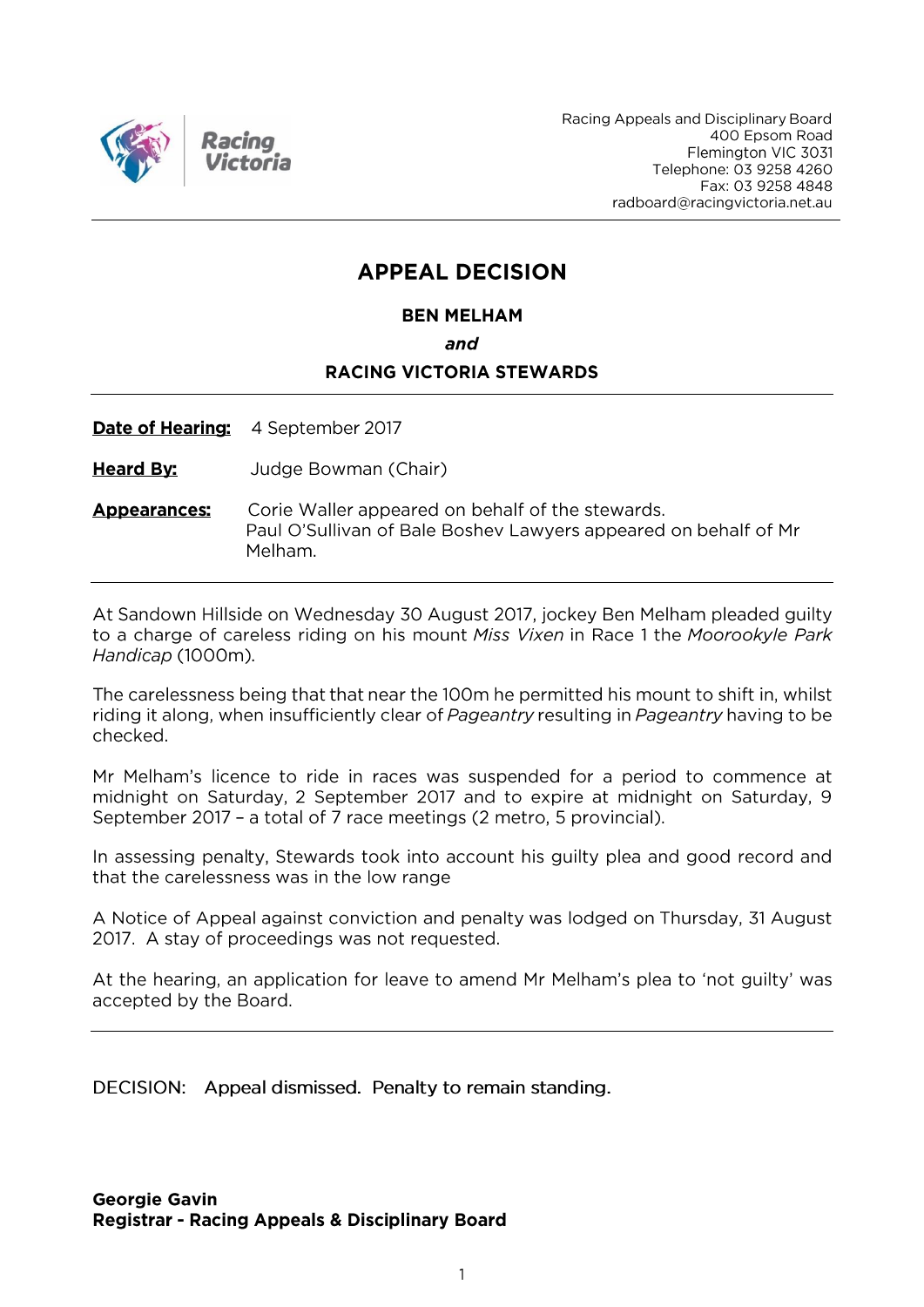

Racing Appeals and Disciplinary Board 400 Epsom Road Flemington VIC 3031 Telephone: 03 9258 4260 Fax: 03 9258 4848 radboard@racingvictoria.net.au

# **APPEAL DECISION**

**BEN MELHAM** 

and

# **RACING VICTORIA STEWARDS**

Date of Hearing: 4 September 2017

- **Heard By:** Judge Bowman (Chair)
- Corie Waller appeared on behalf of the stewards. **Appearances:** Paul O'Sullivan of Bale Boshev Lawyers appeared on behalf of Mr Melham.

At Sandown Hillside on Wednesday 30 August 2017, jockey Ben Melham pleaded guilty to a charge of careless riding on his mount Miss Vixen in Race 1 the Moorookyle Park Handicap (1000m).

The carelessness being that that near the 100m he permitted his mount to shift in, whilst riding it along, when insufficiently clear of Pageantry resulting in Pageantry having to be checked.

Mr Melham's licence to ride in races was suspended for a period to commence at midnight on Saturday, 2 September 2017 and to expire at midnight on Saturday, 9 September 2017 - a total of 7 race meetings (2 metro, 5 provincial).

In assessing penalty, Stewards took into account his guilty plea and good record and that the carelessness was in the low range

A Notice of Appeal against conviction and penalty was lodged on Thursday, 31 August 2017. A stay of proceedings was not requested.

At the hearing, an application for leave to amend Mr Melham's plea to 'not quilty' was accepted by the Board.

DECISION: Appeal dismissed. Penalty to remain standing.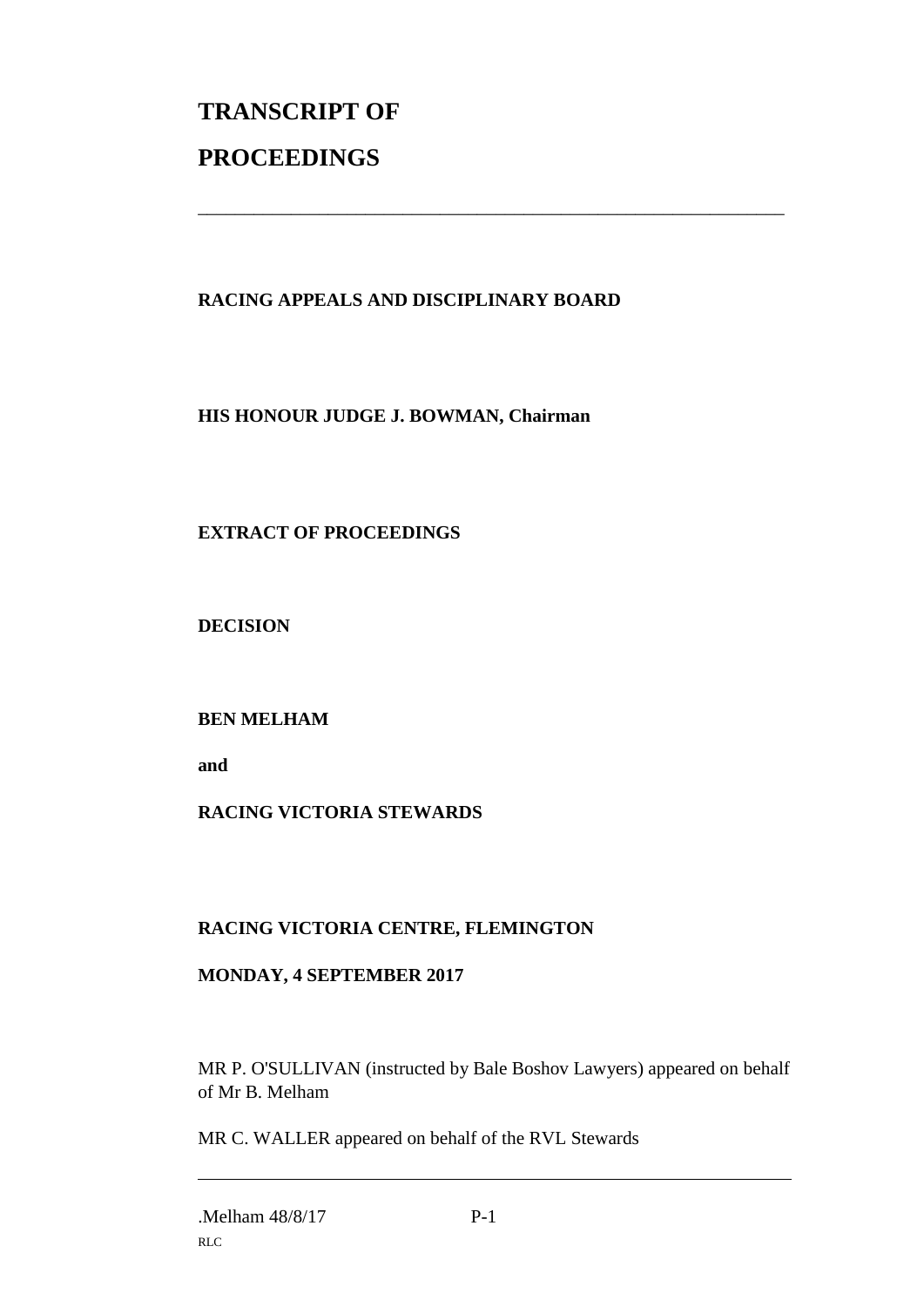# **TRANSCRIPT OF PROCEEDINGS**

# **RACING APPEALS AND DISCIPLINARY BOARD**

\_\_\_\_\_\_\_\_\_\_\_\_\_\_\_\_\_\_\_\_\_\_\_\_\_\_\_\_\_\_\_\_\_\_\_\_\_\_\_\_\_\_\_\_\_\_\_\_\_\_\_\_\_\_\_\_\_\_\_\_\_\_\_

**HIS HONOUR JUDGE J. BOWMAN, Chairman**

# **EXTRACT OF PROCEEDINGS**

**DECISION**

#### **BEN MELHAM**

**and** 

# **RACING VICTORIA STEWARDS**

#### **RACING VICTORIA CENTRE, FLEMINGTON**

#### **MONDAY, 4 SEPTEMBER 2017**

MR P. O'SULLIVAN (instructed by Bale Boshov Lawyers) appeared on behalf of Mr B. Melham

MR C. WALLER appeared on behalf of the RVL Stewards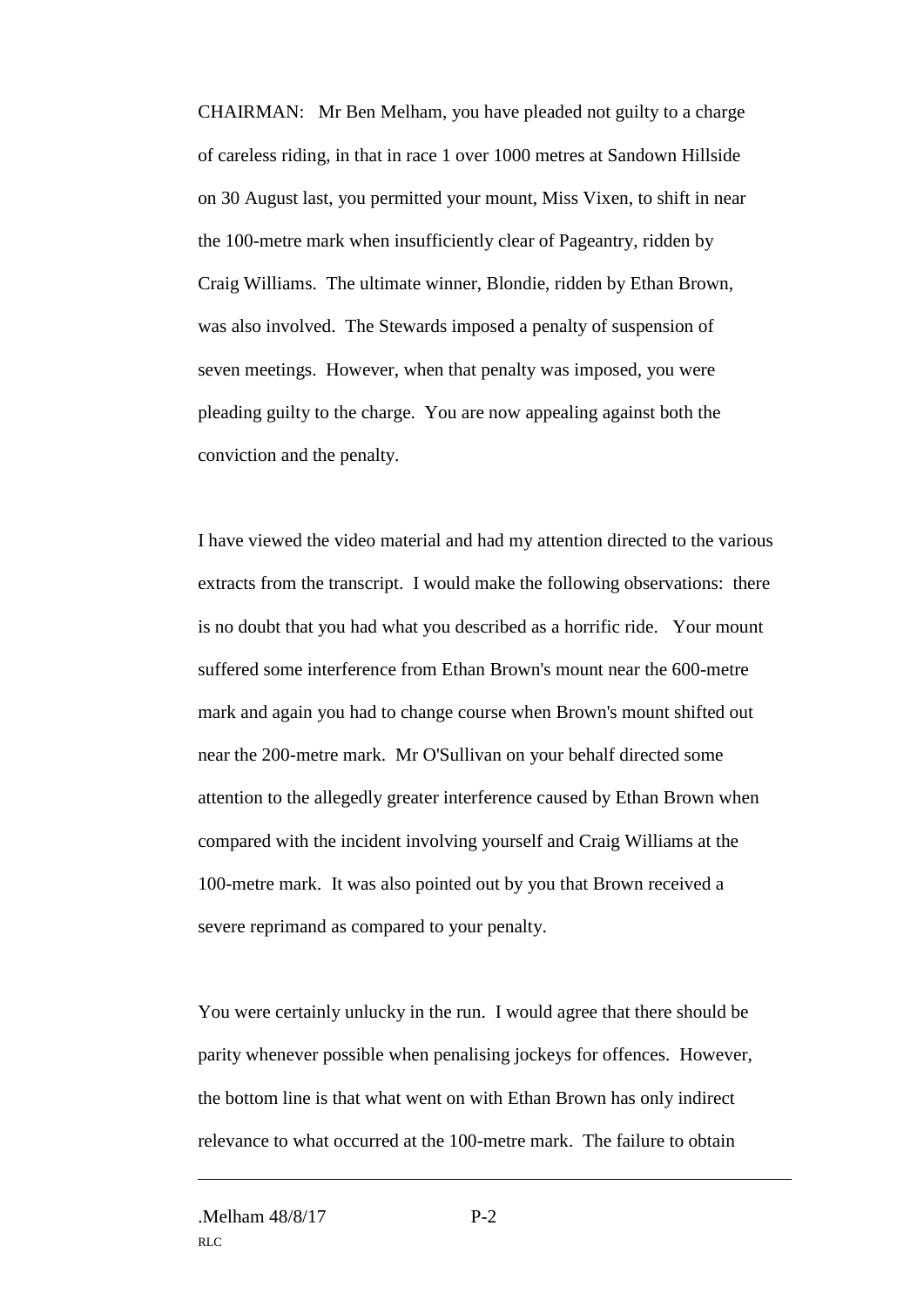CHAIRMAN: Mr Ben Melham, you have pleaded not guilty to a charge of careless riding, in that in race 1 over 1000 metres at Sandown Hillside on 30 August last, you permitted your mount, Miss Vixen, to shift in near the 100-metre mark when insufficiently clear of Pageantry, ridden by Craig Williams. The ultimate winner, Blondie, ridden by Ethan Brown, was also involved. The Stewards imposed a penalty of suspension of seven meetings. However, when that penalty was imposed, you were pleading guilty to the charge. You are now appealing against both the conviction and the penalty.

I have viewed the video material and had my attention directed to the various extracts from the transcript. I would make the following observations: there is no doubt that you had what you described as a horrific ride. Your mount suffered some interference from Ethan Brown's mount near the 600-metre mark and again you had to change course when Brown's mount shifted out near the 200-metre mark. Mr O'Sullivan on your behalf directed some attention to the allegedly greater interference caused by Ethan Brown when compared with the incident involving yourself and Craig Williams at the 100-metre mark. It was also pointed out by you that Brown received a severe reprimand as compared to your penalty.

You were certainly unlucky in the run. I would agree that there should be parity whenever possible when penalising jockeys for offences. However, the bottom line is that what went on with Ethan Brown has only indirect relevance to what occurred at the 100-metre mark. The failure to obtain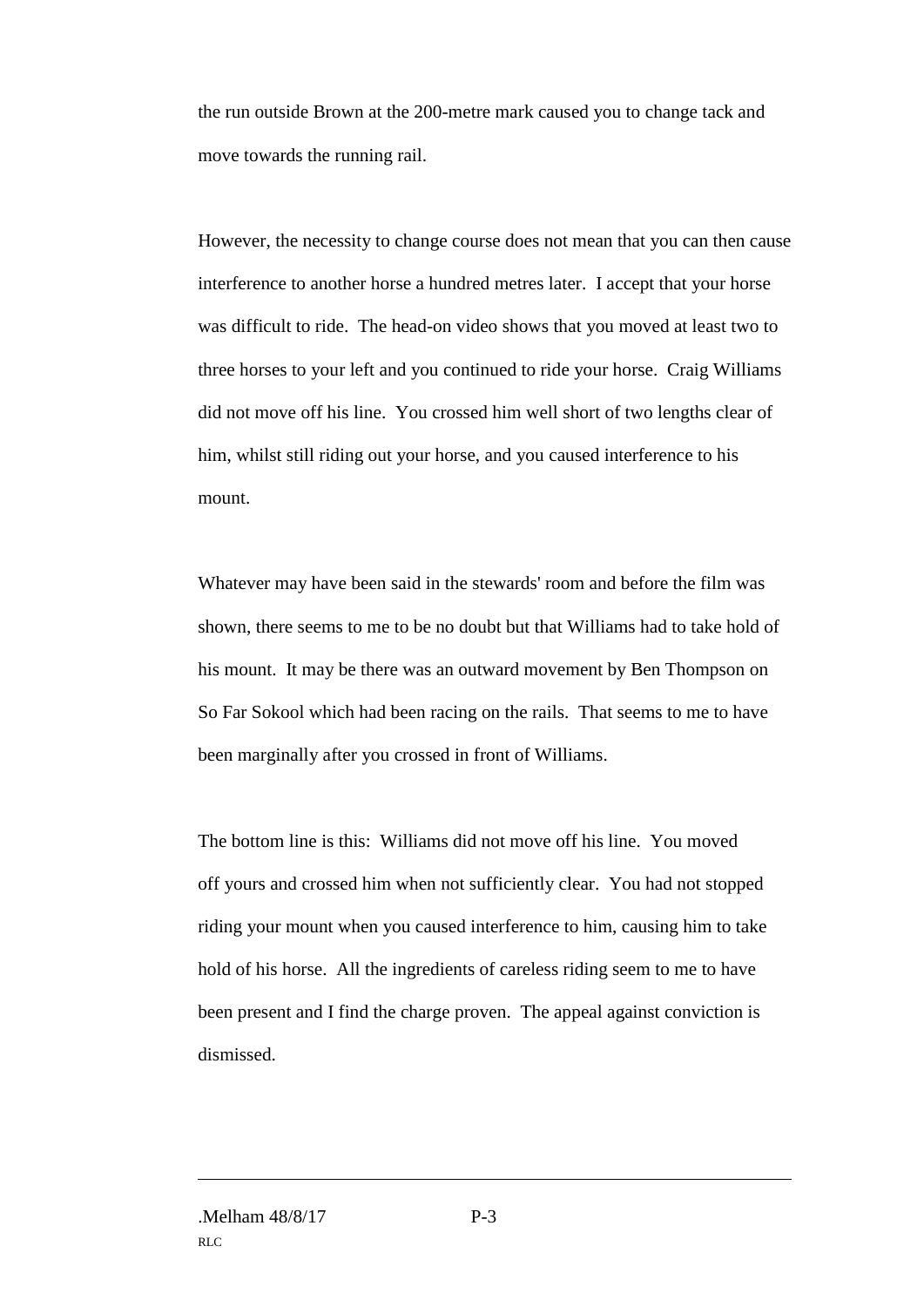the run outside Brown at the 200-metre mark caused you to change tack and move towards the running rail.

However, the necessity to change course does not mean that you can then cause interference to another horse a hundred metres later. I accept that your horse was difficult to ride. The head-on video shows that you moved at least two to three horses to your left and you continued to ride your horse. Craig Williams did not move off his line. You crossed him well short of two lengths clear of him, whilst still riding out your horse, and you caused interference to his mount.

Whatever may have been said in the stewards' room and before the film was shown, there seems to me to be no doubt but that Williams had to take hold of his mount. It may be there was an outward movement by Ben Thompson on So Far Sokool which had been racing on the rails. That seems to me to have been marginally after you crossed in front of Williams.

The bottom line is this: Williams did not move off his line. You moved off yours and crossed him when not sufficiently clear. You had not stopped riding your mount when you caused interference to him, causing him to take hold of his horse. All the ingredients of careless riding seem to me to have been present and I find the charge proven. The appeal against conviction is dismissed.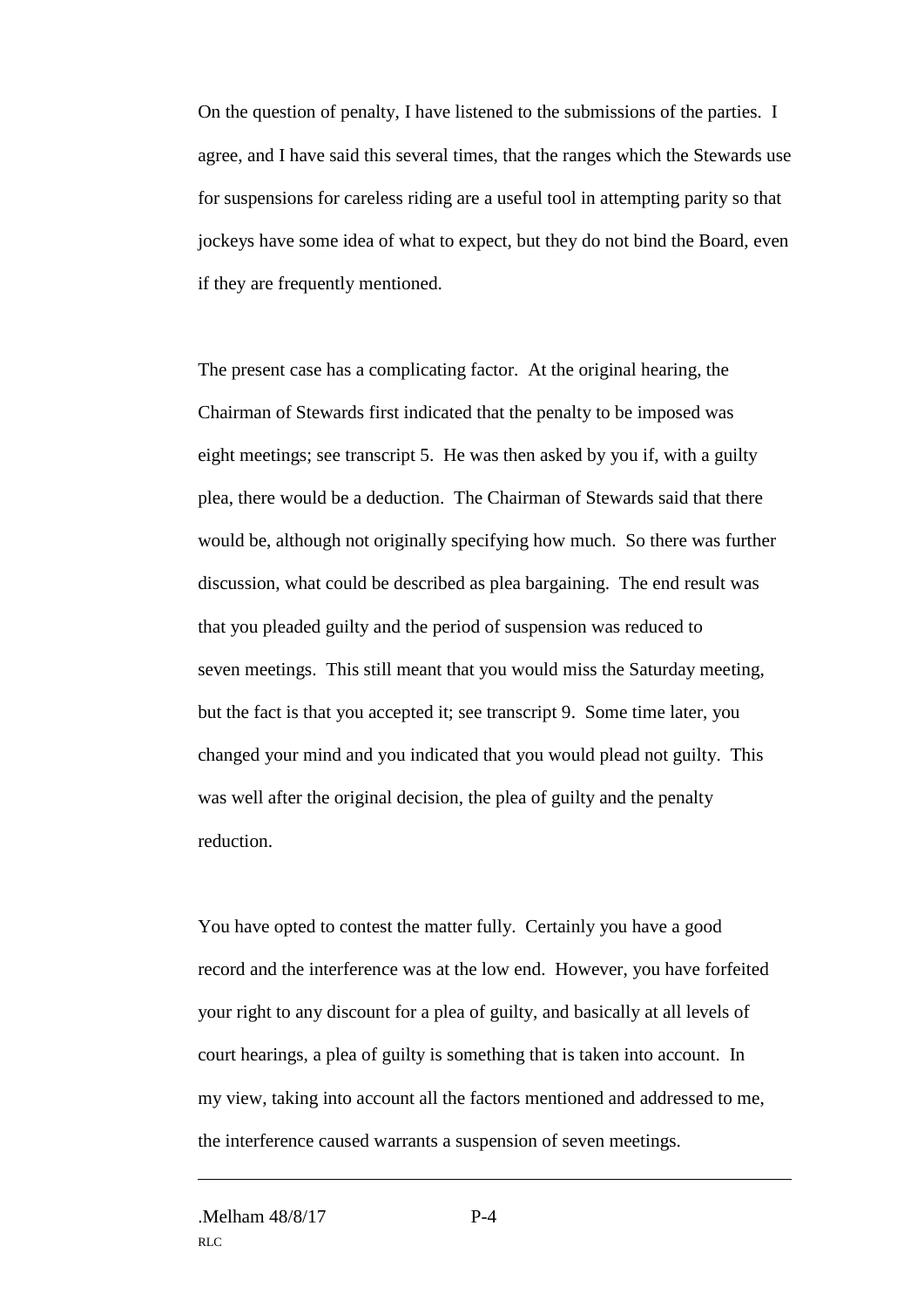On the question of penalty, I have listened to the submissions of the parties. I agree, and I have said this several times, that the ranges which the Stewards use for suspensions for careless riding are a useful tool in attempting parity so that jockeys have some idea of what to expect, but they do not bind the Board, even if they are frequently mentioned.

The present case has a complicating factor. At the original hearing, the Chairman of Stewards first indicated that the penalty to be imposed was eight meetings; see transcript 5. He was then asked by you if, with a guilty plea, there would be a deduction. The Chairman of Stewards said that there would be, although not originally specifying how much. So there was further discussion, what could be described as plea bargaining. The end result was that you pleaded guilty and the period of suspension was reduced to seven meetings. This still meant that you would miss the Saturday meeting, but the fact is that you accepted it; see transcript 9. Some time later, you changed your mind and you indicated that you would plead not guilty. This was well after the original decision, the plea of guilty and the penalty reduction.

You have opted to contest the matter fully. Certainly you have a good record and the interference was at the low end. However, you have forfeited your right to any discount for a plea of guilty, and basically at all levels of court hearings, a plea of guilty is something that is taken into account. In my view, taking into account all the factors mentioned and addressed to me, the interference caused warrants a suspension of seven meetings.